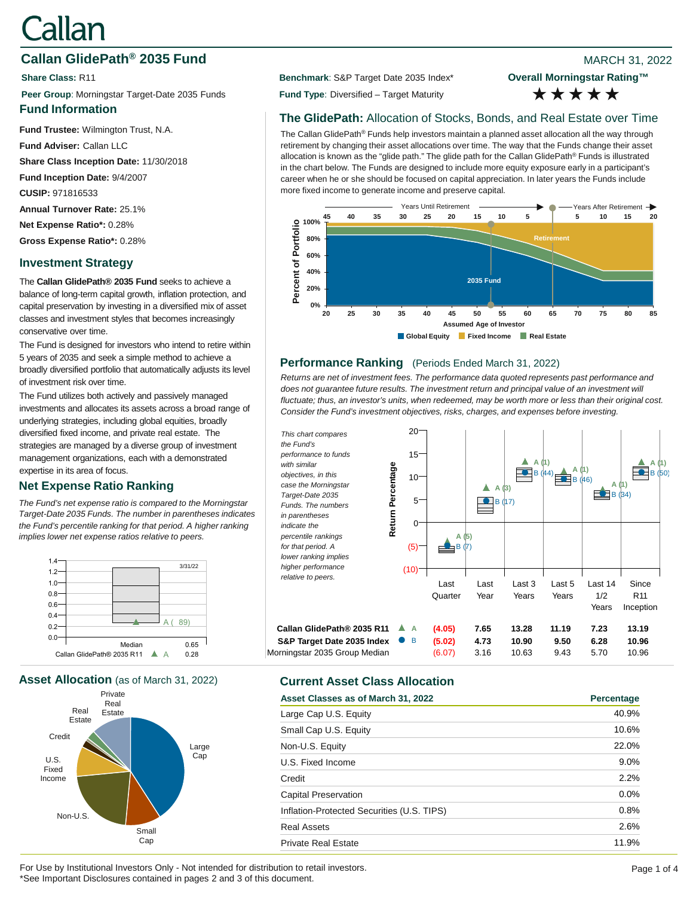# Callan

# **Callan GlidePath<sup>®</sup> 2035 Fund Blue Accord 2008 Participate and Accord 2012 8 2022** MARCH 31, 2022

**Peer Group**: Morningstar Target-Date 2035 Funds **Fund Type**: Diversified – Target Maturity

### **Fund Information**

**Fund Trustee:** Wilmington Trust, N.A.

**Fund Adviser:** Callan LLC

**Share Class Inception Date:** 11/30/2018

**Fund Inception Date:** 9/4/2007

**CUSIP:** 971816533

**Annual Turnover Rate:** 25.1%

**Net Expense Ratio\*:** 0.28%

**Gross Expense Ratio\*:** 0.28%

# **Investment Strategy**

The **Callan GlidePath® 2035 Fund** seeks to achieve a balance of long-term capital growth, inflation protection, and capital preservation by investing in a diversified mix of asset classes and investment styles that becomes increasingly conservative over time.

The Fund is designed for investors who intend to retire within 5 years of 2035 and seek a simple method to achieve a broadly diversified portfolio that automatically adjusts its level of investment risk over time.

The Fund utilizes both actively and passively managed investments and allocates its assets across a broad range of underlying strategies, including global equities, broadly diversified fixed income, and private real estate. The strategies are managed by a diverse group of investment management organizations, each with a demonstrated expertise in its area of focus.

# **Net Expense Ratio Ranking**

*The Fund's net expense ratio is compared to the Morningstar Target-Date 2035 Funds. The number in parentheses indicates the Fund's percentile ranking for that period. A higher ranking implies lower net expense ratios relative to peers.*



**Asset Allocation** (as of March 31, 2022) **Current Asset Class Allocation**



**Share Class: R11 Benchmark: S&P Target Date 2035 Index\*** 

**Overall Morningstar Rating™** \*\*\*\*\*

## **The GlidePath:** Allocation of Stocks, Bonds, and Real Estate over Time

The Callan GlidePath® Funds help investors maintain a planned asset allocation all the way through retirement by changing their asset allocations over time. The way that the Funds change their asset allocation is known as the "glide path." The glide path for the Callan GlidePath® Funds is illustrated in the chart below. The Funds are designed to include more equity exposure early in a participant's career when he or she should be focused on capital appreciation. In later years the Funds include more fixed income to generate income and preserve capital.



#### **Performance Ranking** (Periods Ended March 31, 2022)

*Returns are net of investment fees. The performance data quoted represents past performance and*  does not guarantee future results. The investment return and principal value of an investment will *fluctuate; thus, an investor's units, when redeemed, may be worth more or less than their original cost. Consider the Fund's investment objectives, risks, charges, and expenses before investing.*

20 *This chart compares the Fund's performance to funds*  15  $\frac{A}{2}$  $B$ ▲ *with similar*  Return Percentage **A (1) Return Percentage**  $\overrightarrow{B}$  (44)  $\overrightarrow{A}$  (1)<br>B (46) *objectives, in this*  B (50)  $10$ *case the Morningstar*  **A (1) A (3)**  $B (34)$ *Target-Date 2035*  5  $\bigcirc$  B *Funds. The numbers in parentheses*   $\Omega$ *indicate the percentile rankings*  **A (5)** *for that period. A*   $B(f)$ (5) *lower ranking implies higher performance*  (10) *relative to peers.*  Last Last Last 3 Last 5 Last 14 **Since Quarter** Year Years Years 1/2 R11 Years Inception **Callan GlidePath® 2035 R11 A (4.05) 7.65 13.28 11.19 7.23 13.19 S&P Target Date 2035 Index** B **(5.02) 4.73 10.90 9.50 6.28 10.96** Morningstar 2035 Group Median (6.07) 3.16 10.63 9.43 5.70 10.96

| Asset Classes as of March 31, 2022         | Percentage |
|--------------------------------------------|------------|
| Large Cap U.S. Equity                      | 40.9%      |
| Small Cap U.S. Equity                      | 10.6%      |
| Non-U.S. Equity                            | 22.0%      |
| U.S. Fixed Income                          | 9.0%       |
| Credit                                     | 2.2%       |
| <b>Capital Preservation</b>                | 0.0%       |
| Inflation-Protected Securities (U.S. TIPS) | 0.8%       |
| <b>Real Assets</b>                         | 2.6%       |
| <b>Private Real Estate</b>                 | 11.9%      |

For Use by Institutional Investors Only - Not intended for distribution to retail investors. Page 1 of 4 and the Use of 4 \*See Important Disclosures contained in pages 2 and 3 of this document.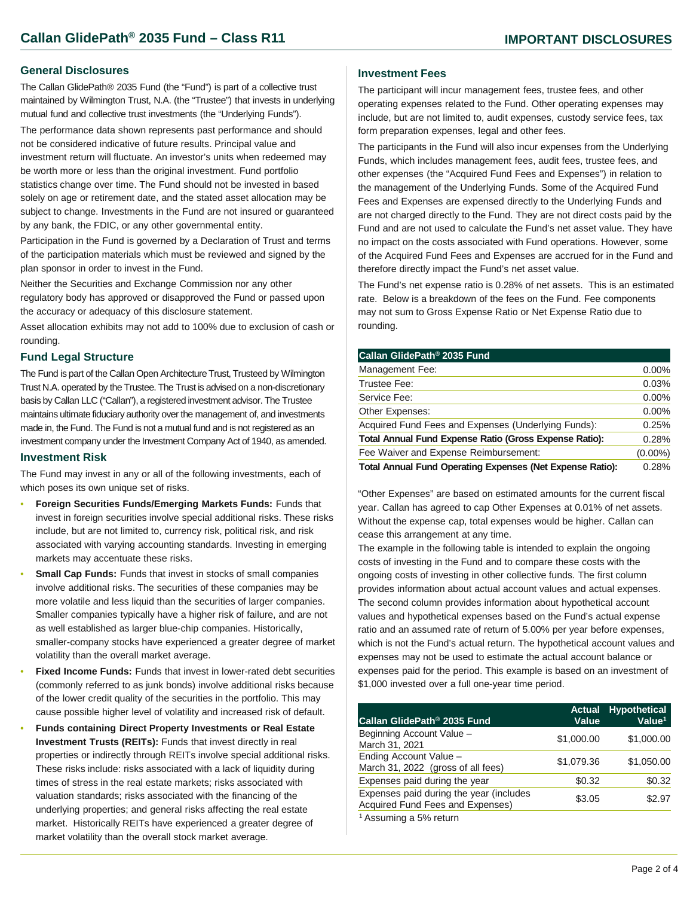#### **General Disclosures**

The Callan GlidePath® 2035 Fund (the "Fund") is part of a collective trust maintained by Wilmington Trust, N.A. (the "Trustee") that invests in underlying mutual fund and collective trust investments (the "Underlying Funds").

The performance data shown represents past performance and should not be considered indicative of future results. Principal value and investment return will fluctuate. An investor's units when redeemed may be worth more or less than the original investment. Fund portfolio statistics change over time. The Fund should not be invested in based solely on age or retirement date, and the stated asset allocation may be subject to change. Investments in the Fund are not insured or guaranteed by any bank, the FDIC, or any other governmental entity.

Participation in the Fund is governed by a Declaration of Trust and terms of the participation materials which must be reviewed and signed by the plan sponsor in order to invest in the Fund.

Neither the Securities and Exchange Commission nor any other regulatory body has approved or disapproved the Fund or passed upon the accuracy or adequacy of this disclosure statement.

Asset allocation exhibits may not add to 100% due to exclusion of cash or rounding.

#### **Fund Legal Structure**

The Fund is part of the Callan Open Architecture Trust, Trusteed by Wilmington Trust N.A. operated by the Trustee. The Trust is advised on a non-discretionary basis by Callan LLC ("Callan"), a registered investment advisor. The Trustee maintains ultimate fiduciary authority over the management of, and investments made in, the Fund. The Fund is not a mutual fund and is not registered as an investment company under the Investment Company Act of 1940, as amended.

#### **Investment Risk**

The Fund may invest in any or all of the following investments, each of which poses its own unique set of risks.

- **Foreign Securities Funds/Emerging Markets Funds:** Funds that invest in foreign securities involve special additional risks. These risks include, but are not limited to, currency risk, political risk, and risk associated with varying accounting standards. Investing in emerging markets may accentuate these risks.
- **Small Cap Funds:** Funds that invest in stocks of small companies involve additional risks. The securities of these companies may be more volatile and less liquid than the securities of larger companies. Smaller companies typically have a higher risk of failure, and are not as well established as larger blue-chip companies. Historically, smaller-company stocks have experienced a greater degree of market volatility than the overall market average.
- **Fixed Income Funds:** Funds that invest in lower-rated debt securities (commonly referred to as junk bonds) involve additional risks because of the lower credit quality of the securities in the portfolio. This may cause possible higher level of volatility and increased risk of default.
- **Funds containing Direct Property Investments or Real Estate Investment Trusts (REITs):** Funds that invest directly in real properties or indirectly through REITs involve special additional risks. These risks include: risks associated with a lack of liquidity during times of stress in the real estate markets; risks associated with valuation standards; risks associated with the financing of the underlying properties; and general risks affecting the real estate market. Historically REITs have experienced a greater degree of market volatility than the overall stock market average.

#### **Investment Fees**

The participant will incur management fees, trustee fees, and other operating expenses related to the Fund. Other operating expenses may include, but are not limited to, audit expenses, custody service fees, tax form preparation expenses, legal and other fees.

The participants in the Fund will also incur expenses from the Underlying Funds, which includes management fees, audit fees, trustee fees, and other expenses (the "Acquired Fund Fees and Expenses") in relation to the management of the Underlying Funds. Some of the Acquired Fund Fees and Expenses are expensed directly to the Underlying Funds and are not charged directly to the Fund. They are not direct costs paid by the Fund and are not used to calculate the Fund's net asset value. They have no impact on the costs associated with Fund operations. However, some of the Acquired Fund Fees and Expenses are accrued for in the Fund and therefore directly impact the Fund's net asset value.

The Fund's net expense ratio is 0.28% of net assets. This is an estimated rate. Below is a breakdown of the fees on the Fund. Fee components may not sum to Gross Expense Ratio or Net Expense Ratio due to rounding.

| Callan GlidePath <sup>®</sup> 2035 Fund                          |            |
|------------------------------------------------------------------|------------|
| Management Fee:                                                  | $0.00\%$   |
| Trustee Fee:                                                     | 0.03%      |
| Service Fee:                                                     | $0.00\%$   |
| Other Expenses:                                                  | $0.00\%$   |
| Acquired Fund Fees and Expenses (Underlying Funds):              | 0.25%      |
| <b>Total Annual Fund Expense Ratio (Gross Expense Ratio):</b>    | 0.28%      |
| Fee Waiver and Expense Reimbursement:                            | $(0.00\%)$ |
| <b>Total Annual Fund Operating Expenses (Net Expense Ratio):</b> | 0.28%      |

"Other Expenses" are based on estimated amounts for the current fiscal year. Callan has agreed to cap Other Expenses at 0.01% of net assets. Without the expense cap, total expenses would be higher. Callan can cease this arrangement at any time.

The example in the following table is intended to explain the ongoing costs of investing in the Fund and to compare these costs with the ongoing costs of investing in other collective funds. The first column provides information about actual account values and actual expenses. The second column provides information about hypothetical account values and hypothetical expenses based on the Fund's actual expense ratio and an assumed rate of return of 5.00% per year before expenses, which is not the Fund's actual return. The hypothetical account values and expenses may not be used to estimate the actual account balance or expenses paid for the period. This example is based on an investment of \$1,000 invested over a full one-year time period.

| Callan GlidePath <sup>®</sup> 2035 Fund                                     | <b>Actual</b><br>Value | <b>Hypothetical</b><br>Value $1$ |
|-----------------------------------------------------------------------------|------------------------|----------------------------------|
| Beginning Account Value -<br>March 31, 2021                                 | \$1,000.00             | \$1,000.00                       |
| Ending Account Value -<br>March 31, 2022 (gross of all fees)                | \$1,079.36             | \$1,050.00                       |
| Expenses paid during the year                                               | \$0.32                 | \$0.32                           |
| Expenses paid during the year (includes<br>Acquired Fund Fees and Expenses) | \$3.05                 | \$2.97                           |
| <sup>1</sup> Assuming a 5% return                                           |                        |                                  |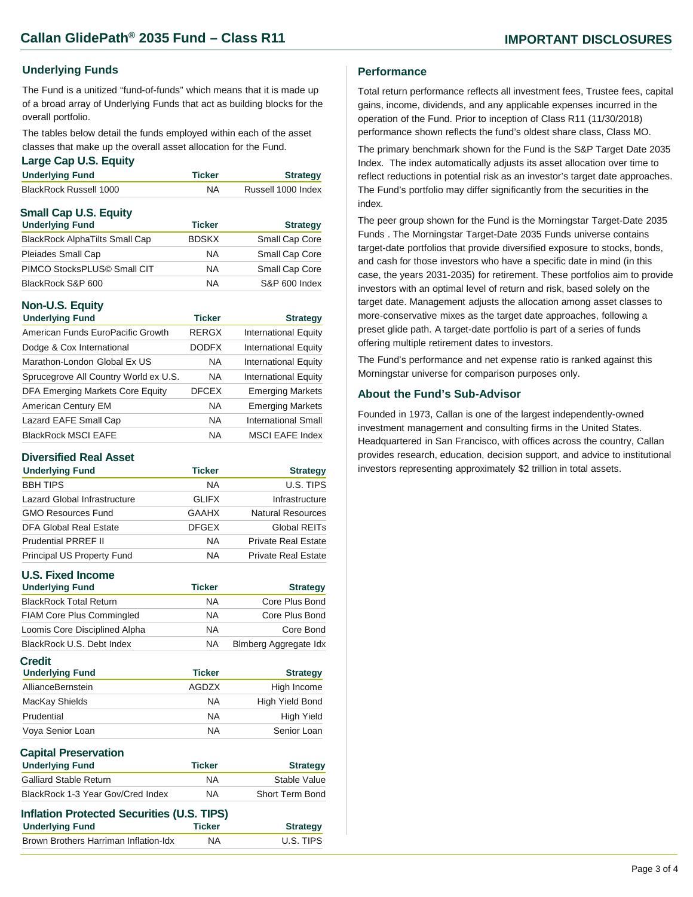#### **Underlying Funds**

The Fund is a unitized "fund-of-funds" which means that it is made up of a broad array of Underlying Funds that act as building blocks for the overall portfolio.

The tables below detail the funds employed within each of the asset classes that make up the overall asset allocation for the Fund.

#### **Large Cap U.S. Equity**

| <b>Underlying Fund</b>       | <b>Ticker</b> | <b>Strategy</b>    |
|------------------------------|---------------|--------------------|
| BlackRock Russell 1000       | <b>NA</b>     | Russell 1000 Index |
| <b>Small Cap U.S. Equity</b> |               |                    |

| <b>Ticker</b> | <b>Strategy</b> |
|---------------|-----------------|
| <b>BDSKX</b>  | Small Cap Core  |
| <b>NA</b>     | Small Cap Core  |
| <b>NA</b>     | Small Cap Core  |
| <b>NA</b>     | S&P 600 Index   |
|               |                 |

#### **Non-U.S. Equity**

| <b>Underlying Fund</b>                | <b>Ticker</b> | <b>Strategy</b>             |
|---------------------------------------|---------------|-----------------------------|
| American Funds EuroPacific Growth     | <b>RERGX</b>  | <b>International Equity</b> |
| Dodge & Cox International             | <b>DODFX</b>  | <b>International Equity</b> |
| Marathon-London Global Ex US          | <b>NA</b>     | <b>International Equity</b> |
| Sprucegrove All Country World ex U.S. | <b>NA</b>     | <b>International Equity</b> |
| DFA Emerging Markets Core Equity      | <b>DFCEX</b>  | <b>Emerging Markets</b>     |
| American Century EM                   | <b>NA</b>     | <b>Emerging Markets</b>     |
| Lazard EAFE Small Cap                 | <b>NA</b>     | <b>International Small</b>  |
| <b>BlackRock MSCI EAFE</b>            | <b>NA</b>     | <b>MSCI EAFE Index</b>      |

#### **Diversified Real Asset**

| <b>Underlying Fund</b>       | <b>Ticker</b> | <b>Strategy</b>            |
|------------------------------|---------------|----------------------------|
| <b>BBH TIPS</b>              | <b>NA</b>     | U.S. TIPS                  |
| Lazard Global Infrastructure | <b>GLIFX</b>  | Infrastructure             |
| <b>GMO Resources Fund</b>    | GAAHX         | Natural Resources          |
| DFA Global Real Estate       | <b>DFGEX</b>  | Global REITs               |
| <b>Prudential PRREF II</b>   | <b>NA</b>     | <b>Private Real Estate</b> |
| Principal US Property Fund   | NA.           | <b>Private Real Estate</b> |

#### **U.S. Fixed Income**

| <b>Underlying Fund</b>           | <b>Ticker</b> | <b>Strategy</b>              |
|----------------------------------|---------------|------------------------------|
| <b>BlackRock Total Return</b>    | <b>NA</b>     | Core Plus Bond               |
| <b>FIAM Core Plus Commingled</b> | <b>NA</b>     | Core Plus Bond               |
| Loomis Core Disciplined Alpha    | <b>NA</b>     | Core Bond                    |
| BlackRock U.S. Debt Index        | <b>NA</b>     | <b>Blmberg Aggregate Idx</b> |
| Credit                           |               |                              |
| <b>Underlying Fund</b>           | <b>Ticker</b> | <b>Strategy</b>              |
| AllianceBernstein                | AGDZX         | High Income                  |
| MacKay Shields                   | <b>NA</b>     | High Yield Bond              |
| Prudential                       | <b>NA</b>     | <b>High Yield</b>            |

| <b>Ticker</b> | <b>Strategy</b> |
|---------------|-----------------|
| <b>NA</b>     | Stable Value    |
| ΝA            | Short Term Bond |
|               |                 |

| Inflation Protected Securities (U.S. TIPS) |               |                 |  |
|--------------------------------------------|---------------|-----------------|--|
| <b>Underlying Fund</b>                     | <b>Ticker</b> | <b>Strategy</b> |  |
| Brown Brothers Harriman Inflation-Idx      | ΝA            | U.S. TIPS       |  |

#### **Performance**

Total return performance reflects all investment fees, Trustee fees, capital gains, income, dividends, and any applicable expenses incurred in the operation of the Fund. Prior to inception of Class R11 (11/30/2018) performance shown reflects the fund's oldest share class, Class MO.

The primary benchmark shown for the Fund is the S&P Target Date 2035 Index. The index automatically adjusts its asset allocation over time to reflect reductions in potential risk as an investor's target date approaches. The Fund's portfolio may differ significantly from the securities in the index.

The peer group shown for the Fund is the Morningstar Target-Date 2035 Funds . The Morningstar Target-Date 2035 Funds universe contains target-date portfolios that provide diversified exposure to stocks, bonds, and cash for those investors who have a specific date in mind (in this case, the years 2031-2035) for retirement. These portfolios aim to provide investors with an optimal level of return and risk, based solely on the target date. Management adjusts the allocation among asset classes to more-conservative mixes as the target date approaches, following a preset glide path. A target-date portfolio is part of a series of funds offering multiple retirement dates to investors.

The Fund's performance and net expense ratio is ranked against this Morningstar universe for comparison purposes only.

#### **About the Fund's Sub-Advisor**

Founded in 1973, Callan is one of the largest independently-owned investment management and consulting firms in the United States. Headquartered in San Francisco, with offices across the country, Callan provides research, education, decision support, and advice to institutional investors representing approximately \$2 trillion in total assets.